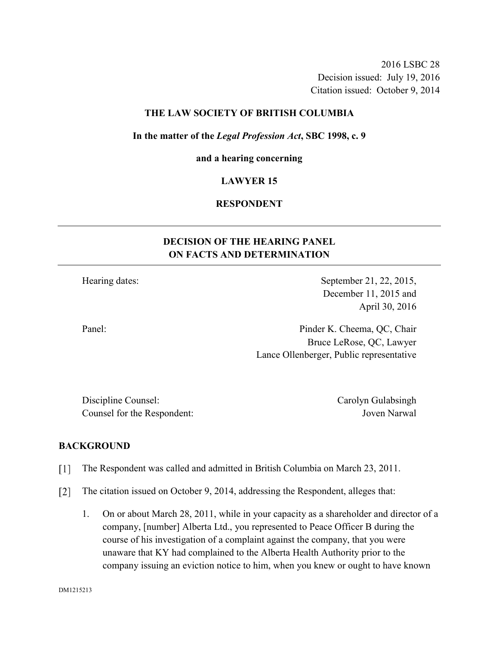2016 LSBC 28 Decision issued: July 19, 2016 Citation issued: October 9, 2014

### **THE LAW SOCIETY OF BRITISH COLUMBIA**

#### **In the matter of the** *Legal Profession Act***, SBC 1998, c. 9**

#### **and a hearing concerning**

#### **LAWYER 15**

### **RESPONDENT**

# **DECISION OF THE HEARING PANEL ON FACTS AND DETERMINATION**

Hearing dates: September 21, 22, 2015,

December 11, 2015 and April 30, 2016

Panel: Pinder K. Cheema, QC, Chair Bruce LeRose, QC, Lawyer Lance Ollenberger, Public representative

Discipline Counsel: Carolyn Gulabsingh Counsel for the Respondent: Joven Narwal

### **BACKGROUND**

- The Respondent was called and admitted in British Columbia on March 23, 2011.  $\lceil 1 \rceil$
- $\lceil 2 \rceil$ The citation issued on October 9, 2014, addressing the Respondent, alleges that:
	- 1. On or about March 28, 2011, while in your capacity as a shareholder and director of a company, [number] Alberta Ltd., you represented to Peace Officer B during the course of his investigation of a complaint against the company, that you were unaware that KY had complained to the Alberta Health Authority prior to the company issuing an eviction notice to him, when you knew or ought to have known

DM1215213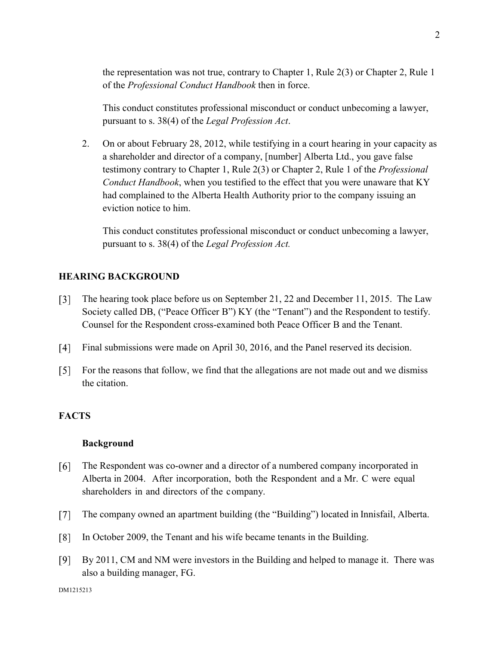the representation was not true, contrary to Chapter 1, Rule 2(3) or Chapter 2, Rule 1 of the *Professional Conduct Handbook* then in force.

This conduct constitutes professional misconduct or conduct unbecoming a lawyer, pursuant to s. 38(4) of the *Legal Profession Act*.

2. On or about February 28, 2012, while testifying in a court hearing in your capacity as a shareholder and director of a company, [number] Alberta Ltd., you gave false testimony contrary to Chapter 1, Rule 2(3) or Chapter 2, Rule 1 of the *Professional Conduct Handbook*, when you testified to the effect that you were unaware that KY had complained to the Alberta Health Authority prior to the company issuing an eviction notice to him.

This conduct constitutes professional misconduct or conduct unbecoming a lawyer, pursuant to s. 38(4) of the *Legal Profession Act.*

### **HEARING BACKGROUND**

- $\lceil 3 \rceil$ The hearing took place before us on September 21, 22 and December 11, 2015. The Law Society called DB, ("Peace Officer B") KY (the "Tenant") and the Respondent to testify. Counsel for the Respondent cross-examined both Peace Officer B and the Tenant.
- $\lceil 4 \rceil$ Final submissions were made on April 30, 2016, and the Panel reserved its decision.
- $\lceil 5 \rceil$ For the reasons that follow, we find that the allegations are not made out and we dismiss the citation.

### **FACTS**

### **Background**

- [6] The Respondent was co-owner and a director of a numbered company incorporated in Alberta in 2004. After incorporation, both the Respondent and a Mr. C were equal shareholders in and directors of the company.
- $\lceil 7 \rceil$ The company owned an apartment building (the "Building") located in Innisfail, Alberta.
- $\lceil 8 \rceil$ In October 2009, the Tenant and his wife became tenants in the Building.
- $[9]$ By 2011, CM and NM were investors in the Building and helped to manage it. There was also a building manager, FG.

2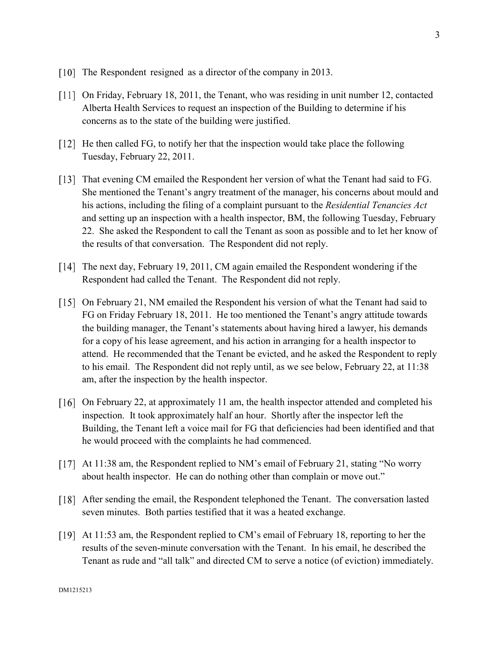- [10] The Respondent resigned as a director of the company in 2013.
- On Friday, February 18, 2011, the Tenant, who was residing in unit number 12, contacted Alberta Health Services to request an inspection of the Building to determine if his concerns as to the state of the building were justified.
- [12] He then called FG, to notify her that the inspection would take place the following Tuesday, February 22, 2011.
- That evening CM emailed the Respondent her version of what the Tenant had said to FG. She mentioned the Tenant's angry treatment of the manager, his concerns about mould and his actions, including the filing of a complaint pursuant to the *Residential Tenancies Act* and setting up an inspection with a health inspector, BM, the following Tuesday, February 22. She asked the Respondent to call the Tenant as soon as possible and to let her know of the results of that conversation. The Respondent did not reply.
- The next day, February 19, 2011, CM again emailed the Respondent wondering if the Respondent had called the Tenant. The Respondent did not reply.
- On February 21, NM emailed the Respondent his version of what the Tenant had said to FG on Friday February 18, 2011. He too mentioned the Tenant's angry attitude towards the building manager, the Tenant's statements about having hired a lawyer, his demands for a copy of his lease agreement, and his action in arranging for a health inspector to attend. He recommended that the Tenant be evicted, and he asked the Respondent to reply to his email. The Respondent did not reply until, as we see below, February 22, at 11:38 am, after the inspection by the health inspector.
- [16] On February 22, at approximately 11 am, the health inspector attended and completed his inspection. It took approximately half an hour. Shortly after the inspector left the Building, the Tenant left a voice mail for FG that deficiencies had been identified and that he would proceed with the complaints he had commenced.
- At 11:38 am, the Respondent replied to NM's email of February 21, stating "No worry about health inspector. He can do nothing other than complain or move out."
- [18] After sending the email, the Respondent telephoned the Tenant. The conversation lasted seven minutes. Both parties testified that it was a heated exchange.
- At 11:53 am, the Respondent replied to CM's email of February 18, reporting to her the results of the seven-minute conversation with the Tenant. In his email, he described the Tenant as rude and "all talk" and directed CM to serve a notice (of eviction) immediately.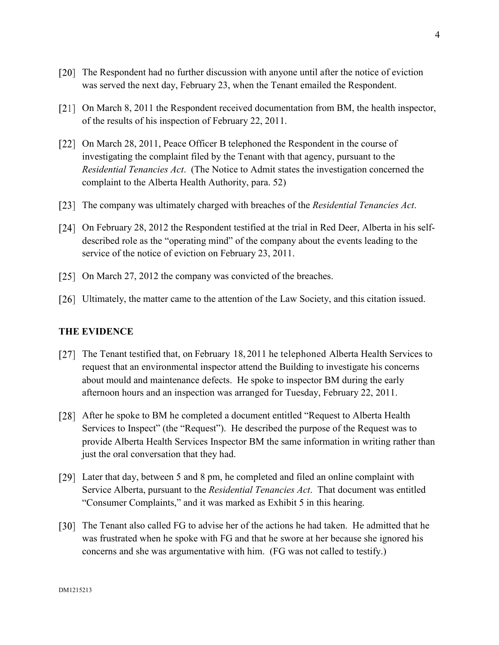- The Respondent had no further discussion with anyone until after the notice of eviction was served the next day, February 23, when the Tenant emailed the Respondent.
- [21] On March 8, 2011 the Respondent received documentation from BM, the health inspector, of the results of his inspection of February 22, 2011.
- [22] On March 28, 2011, Peace Officer B telephoned the Respondent in the course of investigating the complaint filed by the Tenant with that agency, pursuant to the *Residential Tenancies Act*. (The Notice to Admit states the investigation concerned the complaint to the Alberta Health Authority, para. 52)
- The company was ultimately charged with breaches of the *Residential Tenancies Act*.
- [24] On February 28, 2012 the Respondent testified at the trial in Red Deer, Alberta in his selfdescribed role as the "operating mind" of the company about the events leading to the service of the notice of eviction on February 23, 2011.
- [25] On March 27, 2012 the company was convicted of the breaches.
- [26] Ultimately, the matter came to the attention of the Law Society, and this citation issued.

#### **THE EVIDENCE**

- [27] The Tenant testified that, on February 18, 2011 he telephoned Alberta Health Services to request that an environmental inspector attend the Building to investigate his concerns about mould and maintenance defects. He spoke to inspector BM during the early afternoon hours and an inspection was arranged for Tuesday, February 22, 2011.
- [28] After he spoke to BM he completed a document entitled "Request to Alberta Health" Services to Inspect" (the "Request"). He described the purpose of the Request was to provide Alberta Health Services Inspector BM the same information in writing rather than just the oral conversation that they had.
- Later that day, between 5 and 8 pm, he completed and filed an online complaint with Service Alberta, pursuant to the *Residential Tenancies Act*. That document was entitled "Consumer Complaints," and it was marked as Exhibit 5 in this hearing.
- [30] The Tenant also called FG to advise her of the actions he had taken. He admitted that he was frustrated when he spoke with FG and that he swore at her because she ignored his concerns and she was argumentative with him. (FG was not called to testify.)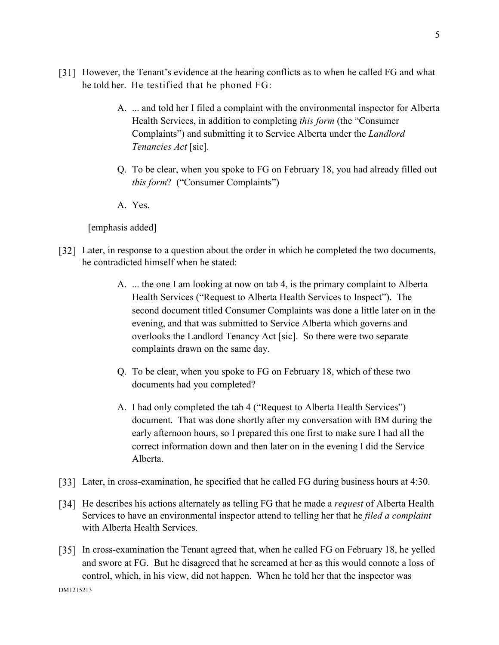- [31] However, the Tenant's evidence at the hearing conflicts as to when he called FG and what he told her. He testified that he phoned FG:
	- A. ... and told her I filed a complaint with the environmental inspector for Alberta Health Services, in addition to completing *this form* (the "Consumer Complaints") and submitting it to Service Alberta under the *Landlord Tenancies Act* [sic]*.*
	- Q. To be clear, when you spoke to FG on February 18, you had already filled out *this form*? ("Consumer Complaints")
	- A. Yes.

[emphasis added]

- [32] Later, in response to a question about the order in which he completed the two documents, he contradicted himself when he stated:
	- A. ... the one I am looking at now on tab 4, is the primary complaint to Alberta Health Services ("Request to Alberta Health Services to Inspect"). The second document titled Consumer Complaints was done a little later on in the evening, and that was submitted to Service Alberta which governs and overlooks the Landlord Tenancy Act [sic]. So there were two separate complaints drawn on the same day.
	- Q. To be clear, when you spoke to FG on February 18, which of these two documents had you completed?
	- A. I had only completed the tab 4 ("Request to Alberta Health Services") document. That was done shortly after my conversation with BM during the early afternoon hours, so I prepared this one first to make sure I had all the correct information down and then later on in the evening I did the Service Alberta.
- [33] Later, in cross-examination, he specified that he called FG during business hours at 4:30.
- [34] He describes his actions alternately as telling FG that he made a *request* of Alberta Health Services to have an environmental inspector attend to telling her that he *filed a complaint* with Alberta Health Services.
- In cross-examination the Tenant agreed that, when he called FG on February 18, he yelled and swore at FG. But he disagreed that he screamed at her as this would connote a loss of control, which, in his view, did not happen. When he told her that the inspector was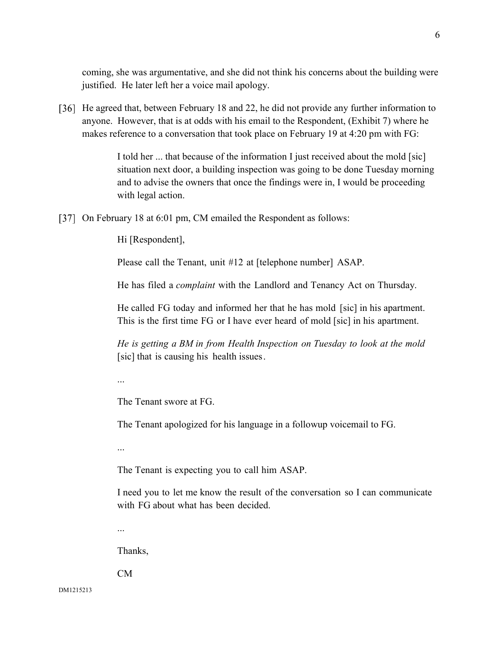coming, she was argumentative, and she did not think his concerns about the building were justified. He later left her a voice mail apology.

[36] He agreed that, between February 18 and 22, he did not provide any further information to anyone. However, that is at odds with his email to the Respondent, (Exhibit 7) where he makes reference to a conversation that took place on February 19 at 4:20 pm with FG:

> I told her ... that because of the information I just received about the mold [sic] situation next door, a building inspection was going to be done Tuesday morning and to advise the owners that once the findings were in, I would be proceeding with legal action.

[37] On February 18 at 6:01 pm, CM emailed the Respondent as follows:

Hi [Respondent],

Please call the Tenant, unit #12 at [telephone number] ASAP.

He has filed a *complaint* with the Landlord and Tenancy Act on Thursday.

He called FG today and informed her that he has mold [sic] in his apartment. This is the first time FG or I have ever heard of mold [sic] in his apartment.

*He is getting a BM in from Health Inspection on Tuesday to look at the mold* [sic] that is causing his health issues.

...

The Tenant swore at FG.

The Tenant apologized for his language in a followup voicemail to FG.

...

The Tenant is expecting you to call him ASAP.

I need you to let me know the result of the conversation so I can communicate with FG about what has been decided.

...

Thanks,

CM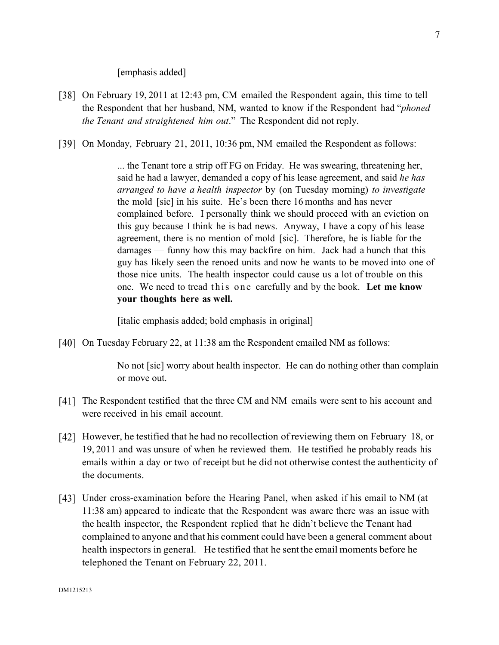[emphasis added]

- [38] On February 19, 2011 at 12:43 pm, CM emailed the Respondent again, this time to tell the Respondent that her husband, NM, wanted to know if the Respondent had "*phoned the Tenant and straightened him out*." The Respondent did not reply.
- [39] On Monday, February 21, 2011, 10:36 pm, NM emailed the Respondent as follows:

... the Tenant tore a strip off FG on Friday. He was swearing, threatening her, said he had a lawyer, demanded a copy of his lease agreement, and said *he has arranged to have a health inspector* by (on Tuesday morning) *to investigate* the mold [sic] in his suite. He's been there 16 months and has never complained before. I personally think we should proceed with an eviction on this guy because I think he is bad news. Anyway, I have a copy of his lease agreement, there is no mention of mold [sic]. Therefore, he is liable for the damages — funny how this may backfire on him. Jack had a hunch that this guy has likely seen the renoed units and now he wants to be moved into one of those nice units. The health inspector could cause us a lot of trouble on this one. We need to tread this one carefully and by the book. Let me know **your thoughts here as well.** 

[italic emphasis added; bold emphasis in original]

[40] On Tuesday February 22, at 11:38 am the Respondent emailed NM as follows:

No not [sic] worry about health inspector. He can do nothing other than complain or move out.

- [41] The Respondent testified that the three CM and NM emails were sent to his account and were received in his email account.
- [42] However, he testified that he had no recollection of reviewing them on February 18, or 19, 2011 and was unsure of when he reviewed them. He testified he probably reads his emails within a day or two of receipt but he did not otherwise contest the authenticity of the documents.
- Under cross-examination before the Hearing Panel, when asked if his email to NM (at 11:38 am) appeared to indicate that the Respondent was aware there was an issue with the health inspector, the Respondent replied that he didn't believe the Tenant had complained to anyone and that his comment could have been a general comment about health inspectors in general. He testified that he sent the email moments before he telephoned the Tenant on February 22, 2011.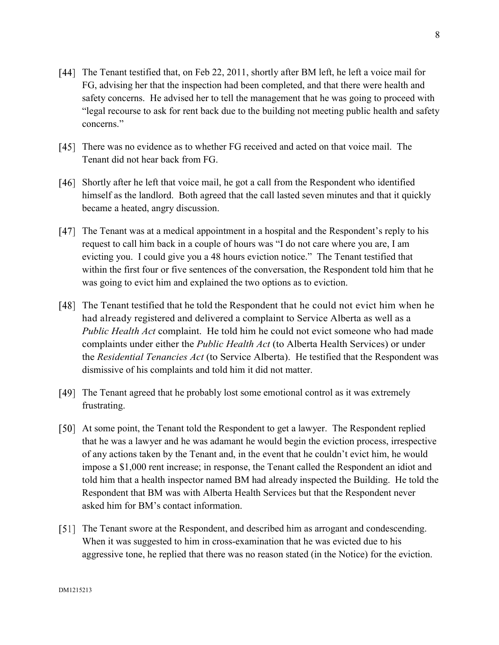- [44] The Tenant testified that, on Feb 22, 2011, shortly after BM left, he left a voice mail for FG, advising her that the inspection had been completed, and that there were health and safety concerns. He advised her to tell the management that he was going to proceed with "legal recourse to ask for rent back due to the building not meeting public health and safety concerns."
- There was no evidence as to whether FG received and acted on that voice mail. The Tenant did not hear back from FG.
- [46] Shortly after he left that voice mail, he got a call from the Respondent who identified himself as the landlord. Both agreed that the call lasted seven minutes and that it quickly became a heated, angry discussion.
- [47] The Tenant was at a medical appointment in a hospital and the Respondent's reply to his request to call him back in a couple of hours was "I do not care where you are, I am evicting you. I could give you a 48 hours eviction notice." The Tenant testified that within the first four or five sentences of the conversation, the Respondent told him that he was going to evict him and explained the two options as to eviction.
- The Tenant testified that he told the Respondent that he could not evict him when he had already registered and delivered a complaint to Service Alberta as well as a *Public Health Act* complaint. He told him he could not evict someone who had made complaints under either the *Public Health Act* (to Alberta Health Services) or under the *Residential Tenancies Act* (to Service Alberta). He testified that the Respondent was dismissive of his complaints and told him it did not matter.
- [49] The Tenant agreed that he probably lost some emotional control as it was extremely frustrating.
- [50] At some point, the Tenant told the Respondent to get a lawyer. The Respondent replied that he was a lawyer and he was adamant he would begin the eviction process, irrespective of any actions taken by the Tenant and, in the event that he couldn't evict him, he would impose a \$1,000 rent increase; in response, the Tenant called the Respondent an idiot and told him that a health inspector named BM had already inspected the Building. He told the Respondent that BM was with Alberta Health Services but that the Respondent never asked him for BM's contact information.
- [51] The Tenant swore at the Respondent, and described him as arrogant and condescending. When it was suggested to him in cross-examination that he was evicted due to his aggressive tone, he replied that there was no reason stated (in the Notice) for the eviction.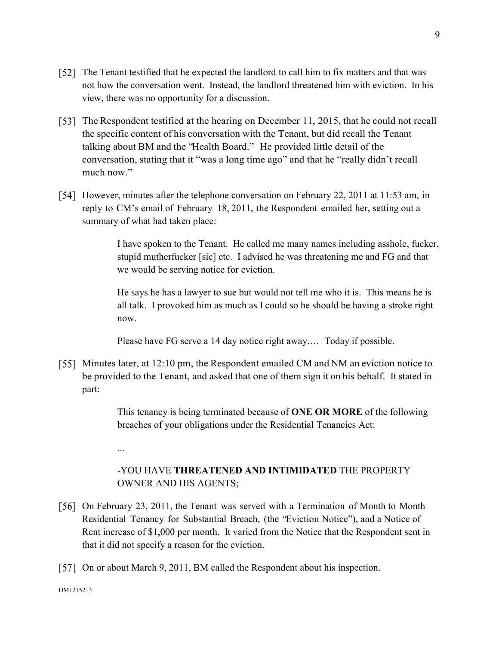- The Tenant testified that he expected the landlord to call him to fix matters and that was not how the conversation went. Instead, the landlord threatened him with eviction. In his view, there was no opportunity for a discussion.
- [53] The Respondent testified at the hearing on December 11, 2015, that he could not recall the specific content of his conversation with the Tenant, but did recall the Tenant talking about BM and the "Health Board." He provided little detail of the conversation, stating that it "was a long time ago" and that he "really didn't recall much now."
- [54] However, minutes after the telephone conversation on February 22, 2011 at 11:53 am, in reply to CM's email of February 18, 2011, the Respondent emailed her, setting out a summary of what had taken place:

I have spoken to the Tenant. He called me many names including asshole, fucker, stupid mutherfucker [sic] etc. I advised he was threatening me and FG and that we would be serving notice for eviction.

He says he has a lawyer to sue but would not tell me who it is. This means he is all talk. I provoked him as much as I could so he should be having a stroke right now.

Please have FG serve a 14 day notice right away.… Today if possible.

[55] Minutes later, at 12:10 pm, the Respondent emailed CM and NM an eviction notice to be provided to the Tenant, and asked that one of them sign it on his behalf. It stated in part:

> This tenancy is being terminated because of **ONE OR MORE** of the following breaches of your obligations under the Residential Tenancies Act:

-YOU HAVE **THREATENED AND INTIMIDATED** THE PROPERTY OWNER AND HIS AGENTS;

- [56] On February 23, 2011, the Tenant was served with a Termination of Month to Month Residential Tenancy for Substantial Breach, (the "Eviction Notice"), and a Notice of Rent increase of \$1,000 per month. It varied from the Notice that the Respondent sent in that it did not specify a reason for the eviction.
- [57] On or about March 9, 2011, BM called the Respondent about his inspection.

...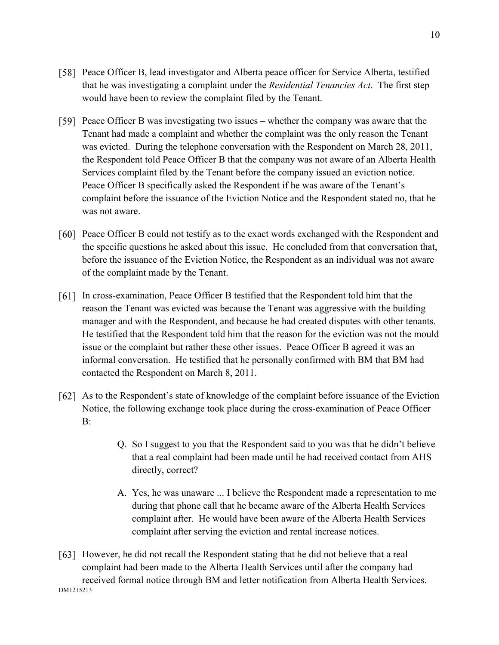- Peace Officer B, lead investigator and Alberta peace officer for Service Alberta, testified that he was investigating a complaint under the *Residential Tenancies Act*. The first step would have been to review the complaint filed by the Tenant.
- Peace Officer B was investigating two issues whether the company was aware that the Tenant had made a complaint and whether the complaint was the only reason the Tenant was evicted. During the telephone conversation with the Respondent on March 28, 2011, the Respondent told Peace Officer B that the company was not aware of an Alberta Health Services complaint filed by the Tenant before the company issued an eviction notice. Peace Officer B specifically asked the Respondent if he was aware of the Tenant's complaint before the issuance of the Eviction Notice and the Respondent stated no, that he was not aware.
- Peace Officer B could not testify as to the exact words exchanged with the Respondent and the specific questions he asked about this issue. He concluded from that conversation that, before the issuance of the Eviction Notice, the Respondent as an individual was not aware of the complaint made by the Tenant.
- In cross-examination, Peace Officer B testified that the Respondent told him that the reason the Tenant was evicted was because the Tenant was aggressive with the building manager and with the Respondent, and because he had created disputes with other tenants. He testified that the Respondent told him that the reason for the eviction was not the mould issue or the complaint but rather these other issues. Peace Officer B agreed it was an informal conversation. He testified that he personally confirmed with BM that BM had contacted the Respondent on March 8, 2011.
- As to the Respondent's state of knowledge of the complaint before issuance of the Eviction Notice, the following exchange took place during the cross-examination of Peace Officer B:
	- Q. So I suggest to you that the Respondent said to you was that he didn't believe that a real complaint had been made until he had received contact from AHS directly, correct?
	- A. Yes, he was unaware ... I believe the Respondent made a representation to me during that phone call that he became aware of the Alberta Health Services complaint after. He would have been aware of the Alberta Health Services complaint after serving the eviction and rental increase notices.
- DM1215213 [63] However, he did not recall the Respondent stating that he did not believe that a real complaint had been made to the Alberta Health Services until after the company had received formal notice through BM and letter notification from Alberta Health Services.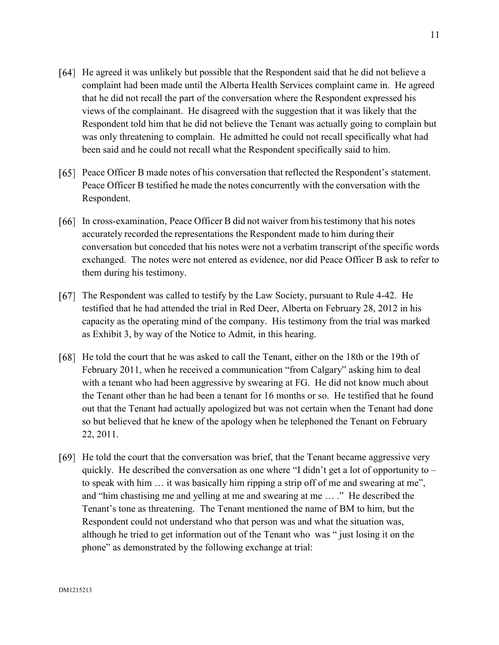He agreed it was unlikely but possible that the Respondent said that he did not believe a complaint had been made until the Alberta Health Services complaint came in. He agreed that he did not recall the part of the conversation where the Respondent expressed his views of the complainant. He disagreed with the suggestion that it was likely that the Respondent told him that he did not believe the Tenant was actually going to complain but

was only threatening to complain. He admitted he could not recall specifically what had

Peace Officer B made notes of his conversation that reflected the Respondent's statement. Peace Officer B testified he made the notes concurrently with the conversation with the Respondent.

been said and he could not recall what the Respondent specifically said to him.

- In cross-examination, Peace Officer B did not waiver from his testimony that his notes accurately recorded the representations the Respondent made to him during their conversation but conceded that his notes were not a verbatim transcript of the specific words exchanged. The notes were not entered as evidence, nor did Peace Officer B ask to refer to them during his testimony.
- [67] The Respondent was called to testify by the Law Society, pursuant to Rule 4-42. He testified that he had attended the trial in Red Deer, Alberta on February 28, 2012 in his capacity as the operating mind of the company. His testimony from the trial was marked as Exhibit 3, by way of the Notice to Admit, in this hearing.
- [68] He told the court that he was asked to call the Tenant, either on the 18th or the 19th of February 2011, when he received a communication "from Calgary" asking him to deal with a tenant who had been aggressive by swearing at FG. He did not know much about the Tenant other than he had been a tenant for 16 months or so. He testified that he found out that the Tenant had actually apologized but was not certain when the Tenant had done so but believed that he knew of the apology when he telephoned the Tenant on February 22, 2011.
- [69] He told the court that the conversation was brief, that the Tenant became aggressive very quickly. He described the conversation as one where "I didn't get a lot of opportunity to – to speak with him … it was basically him ripping a strip off of me and swearing at me", and "him chastising me and yelling at me and swearing at me … ." He described the Tenant's tone as threatening. The Tenant mentioned the name of BM to him, but the Respondent could not understand who that person was and what the situation was, although he tried to get information out of the Tenant who was " just losing it on the phone" as demonstrated by the following exchange at trial: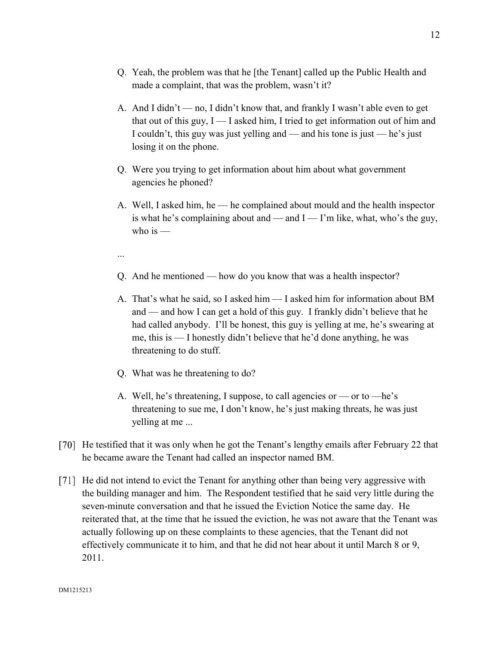- Q. Yeah, the problem was that he [the Tenant] called up the Public Health and made a complaint, that was the problem, wasn't it?
- A. And I didn't no, I didn't know that, and frankly I wasn't able even to get that out of this guy,  $I - I$  asked him, I tried to get information out of him and I couldn't, this guy was just yelling and — and his tone is just — he's just losing it on the phone.
- Q. Were you trying to get information about him about what government agencies he phoned?
- A. Well, I asked him, he he complained about mould and the health inspector is what he's complaining about and — and  $I - I'$ m like, what, who's the guy, who is  $-$
- ...
- Q. And he mentioned how do you know that was a health inspector?
- A. That's what he said, so I asked him I asked him for information about BM and — and how I can get a hold of this guy. I frankly didn't believe that he had called anybody. I'll be honest, this guy is yelling at me, he's swearing at me, this is — I honestly didn't believe that he'd done anything, he was threatening to do stuff.
- Q. What was he threatening to do?
- A. Well, he's threatening, I suppose, to call agencies or or to —he's threatening to sue me, I don't know, he's just making threats, he was just yelling at me ...
- [70] He testified that it was only when he got the Tenant's lengthy emails after February 22 that he became aware the Tenant had called an inspector named BM.
- [71] He did not intend to evict the Tenant for anything other than being very aggressive with the building manager and him. The Respondent testified that he said very little during the seven-minute conversation and that he issued the Eviction Notice the same day. He reiterated that, at the time that he issued the eviction, he was not aware that the Tenant was actually following up on these complaints to these agencies, that the Tenant did not effectively communicate it to him, and that he did not hear about it until March 8 or 9, 2011.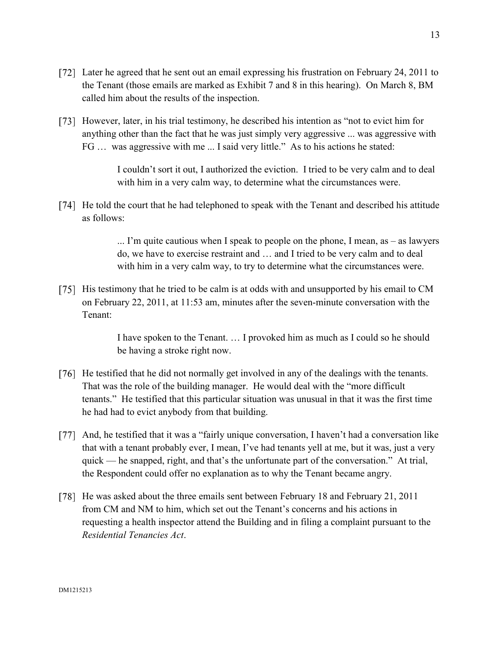- [72] Later he agreed that he sent out an email expressing his frustration on February 24, 2011 to the Tenant (those emails are marked as Exhibit 7 and 8 in this hearing). On March 8, BM called him about the results of the inspection.
- [73] However, later, in his trial testimony, he described his intention as "not to evict him for anything other than the fact that he was just simply very aggressive ... was aggressive with FG … was aggressive with me ... I said very little." As to his actions he stated:

I couldn't sort it out, I authorized the eviction. I tried to be very calm and to deal with him in a very calm way, to determine what the circumstances were.

[74] He told the court that he had telephoned to speak with the Tenant and described his attitude as follows:

> ... I'm quite cautious when I speak to people on the phone, I mean, as – as lawyers do, we have to exercise restraint and … and I tried to be very calm and to deal with him in a very calm way, to try to determine what the circumstances were.

[75] His testimony that he tried to be calm is at odds with and unsupported by his email to CM on February 22, 2011, at 11:53 am, minutes after the seven-minute conversation with the Tenant:

> I have spoken to the Tenant. … I provoked him as much as I could so he should be having a stroke right now.

- [76] He testified that he did not normally get involved in any of the dealings with the tenants. That was the role of the building manager. He would deal with the "more difficult tenants." He testified that this particular situation was unusual in that it was the first time he had had to evict anybody from that building.
- And, he testified that it was a "fairly unique conversation, I haven't had a conversation like that with a tenant probably ever, I mean, I've had tenants yell at me, but it was, just a very quick — he snapped, right, and that's the unfortunate part of the conversation." At trial, the Respondent could offer no explanation as to why the Tenant became angry.
- [78] He was asked about the three emails sent between February 18 and February 21, 2011 from CM and NM to him, which set out the Tenant's concerns and his actions in requesting a health inspector attend the Building and in filing a complaint pursuant to the *Residential Tenancies Act*.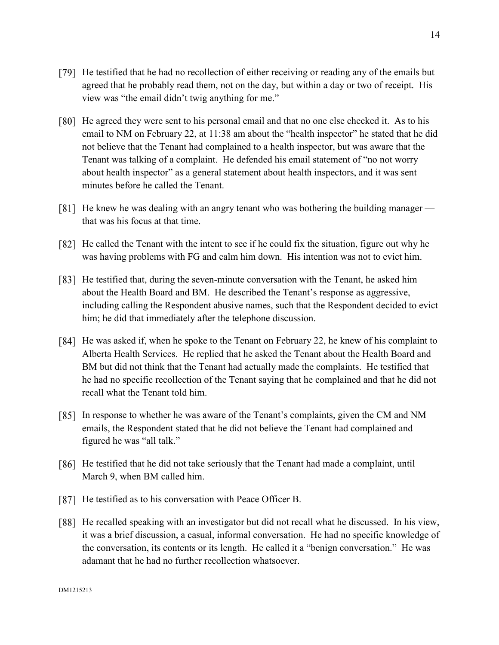- [79] He testified that he had no recollection of either receiving or reading any of the emails but agreed that he probably read them, not on the day, but within a day or two of receipt. His view was "the email didn't twig anything for me."
- [80] He agreed they were sent to his personal email and that no one else checked it. As to his email to NM on February 22, at 11:38 am about the "health inspector" he stated that he did not believe that the Tenant had complained to a health inspector, but was aware that the Tenant was talking of a complaint. He defended his email statement of "no not worry about health inspector" as a general statement about health inspectors, and it was sent minutes before he called the Tenant.
- [81] He knew he was dealing with an angry tenant who was bothering the building manager that was his focus at that time.
- [82] He called the Tenant with the intent to see if he could fix the situation, figure out why he was having problems with FG and calm him down. His intention was not to evict him.
- [83] He testified that, during the seven-minute conversation with the Tenant, he asked him about the Health Board and BM. He described the Tenant's response as aggressive, including calling the Respondent abusive names, such that the Respondent decided to evict him; he did that immediately after the telephone discussion.
- [84] He was asked if, when he spoke to the Tenant on February 22, he knew of his complaint to Alberta Health Services. He replied that he asked the Tenant about the Health Board and BM but did not think that the Tenant had actually made the complaints. He testified that he had no specific recollection of the Tenant saying that he complained and that he did not recall what the Tenant told him.
- In response to whether he was aware of the Tenant's complaints, given the CM and NM emails, the Respondent stated that he did not believe the Tenant had complained and figured he was "all talk."
- [86] He testified that he did not take seriously that the Tenant had made a complaint, until March 9, when BM called him.
- [87] He testified as to his conversation with Peace Officer B.
- [88] He recalled speaking with an investigator but did not recall what he discussed. In his view, it was a brief discussion, a casual, informal conversation. He had no specific knowledge of the conversation, its contents or its length. He called it a "benign conversation." He was adamant that he had no further recollection whatsoever.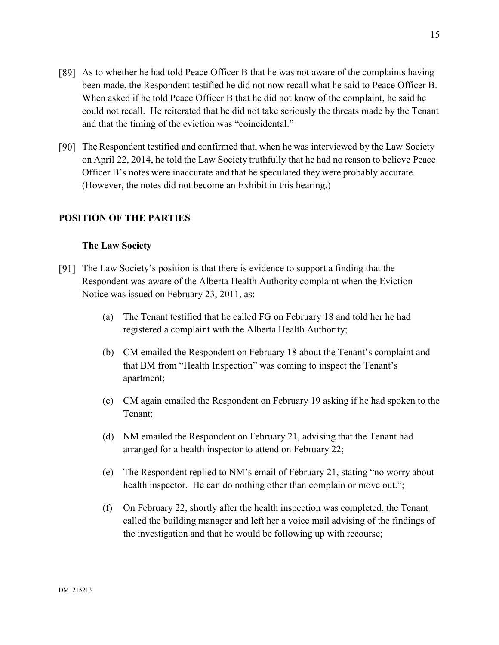- As to whether he had told Peace Officer B that he was not aware of the complaints having been made, the Respondent testified he did not now recall what he said to Peace Officer B. When asked if he told Peace Officer B that he did not know of the complaint, he said he could not recall. He reiterated that he did not take seriously the threats made by the Tenant and that the timing of the eviction was "coincidental."
- The Respondent testified and confirmed that, when he was interviewed by the Law Society on April 22, 2014, he told the Law Society truthfully that he had no reason to believe Peace Officer B's notes were inaccurate and that he speculated they were probably accurate. (However, the notes did not become an Exhibit in this hearing.)

## **POSITION OF THE PARTIES**

### **The Law Society**

- The Law Society's position is that there is evidence to support a finding that the Respondent was aware of the Alberta Health Authority complaint when the Eviction Notice was issued on February 23, 2011, as:
	- (a) The Tenant testified that he called FG on February 18 and told her he had registered a complaint with the Alberta Health Authority;
	- (b) CM emailed the Respondent on February 18 about the Tenant's complaint and that BM from "Health Inspection" was coming to inspect the Tenant's apartment;
	- (c) CM again emailed the Respondent on February 19 asking if he had spoken to the Tenant;
	- (d) NM emailed the Respondent on February 21, advising that the Tenant had arranged for a health inspector to attend on February 22;
	- (e) The Respondent replied to NM's email of February 21, stating "no worry about health inspector. He can do nothing other than complain or move out.";
	- (f) On February 22, shortly after the health inspection was completed, the Tenant called the building manager and left her a voice mail advising of the findings of the investigation and that he would be following up with recourse;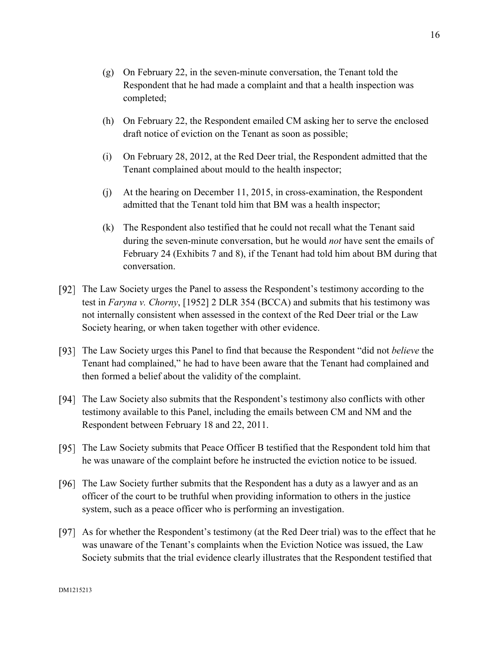- (g) On February 22, in the seven-minute conversation, the Tenant told the Respondent that he had made a complaint and that a health inspection was completed;
- (h) On February 22, the Respondent emailed CM asking her to serve the enclosed draft notice of eviction on the Tenant as soon as possible;
- (i) On February 28, 2012, at the Red Deer trial, the Respondent admitted that the Tenant complained about mould to the health inspector;
- (j) At the hearing on December 11, 2015, in cross-examination, the Respondent admitted that the Tenant told him that BM was a health inspector;
- (k) The Respondent also testified that he could not recall what the Tenant said during the seven-minute conversation, but he would *not* have sent the emails of February 24 (Exhibits 7 and 8), if the Tenant had told him about BM during that conversation.
- [92] The Law Society urges the Panel to assess the Respondent's testimony according to the test in *Faryna v. Chorny*, [1952] 2 DLR 354 (BCCA) and submits that his testimony was not internally consistent when assessed in the context of the Red Deer trial or the Law Society hearing, or when taken together with other evidence.
- The Law Society urges this Panel to find that because the Respondent "did not *believe* the Tenant had complained," he had to have been aware that the Tenant had complained and then formed a belief about the validity of the complaint.
- The Law Society also submits that the Respondent's testimony also conflicts with other testimony available to this Panel, including the emails between CM and NM and the Respondent between February 18 and 22, 2011.
- [95] The Law Society submits that Peace Officer B testified that the Respondent told him that he was unaware of the complaint before he instructed the eviction notice to be issued.
- [96] The Law Society further submits that the Respondent has a duty as a lawyer and as an officer of the court to be truthful when providing information to others in the justice system, such as a peace officer who is performing an investigation.
- As for whether the Respondent's testimony (at the Red Deer trial) was to the effect that he was unaware of the Tenant's complaints when the Eviction Notice was issued, the Law Society submits that the trial evidence clearly illustrates that the Respondent testified that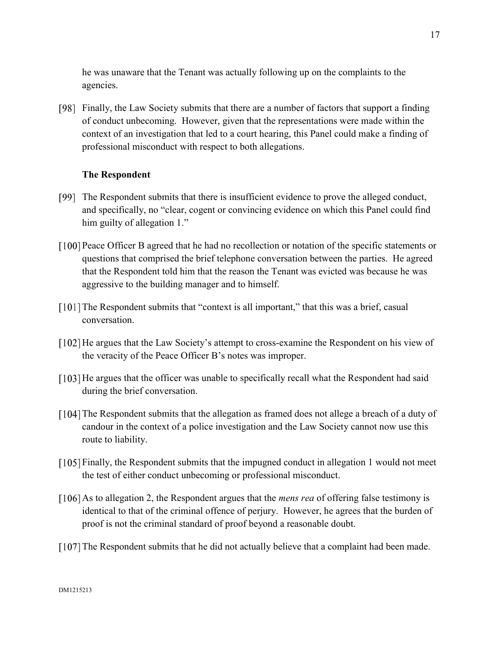he was unaware that the Tenant was actually following up on the complaints to the agencies.

Finally, the Law Society submits that there are a number of factors that support a finding of conduct unbecoming. However, given that the representations were made within the context of an investigation that led to a court hearing, this Panel could make a finding of professional misconduct with respect to both allegations.

## **The Respondent**

- [99] The Respondent submits that there is insufficient evidence to prove the alleged conduct, and specifically, no "clear, cogent or convincing evidence on which this Panel could find him guilty of allegation 1."
- Peace Officer B agreed that he had no recollection or notation of the specific statements or questions that comprised the brief telephone conversation between the parties. He agreed that the Respondent told him that the reason the Tenant was evicted was because he was aggressive to the building manager and to himself.
- [101] The Respondent submits that "context is all important," that this was a brief, casual conversation.
- [102] He argues that the Law Society's attempt to cross-examine the Respondent on his view of the veracity of the Peace Officer B's notes was improper.
- [103] He argues that the officer was unable to specifically recall what the Respondent had said during the brief conversation.
- [104] The Respondent submits that the allegation as framed does not allege a breach of a duty of candour in the context of a police investigation and the Law Society cannot now use this route to liability.
- Finally, the Respondent submits that the impugned conduct in allegation 1 would not meet the test of either conduct unbecoming or professional misconduct.
- [106] As to allegation 2, the Respondent argues that the *mens rea* of offering false testimony is identical to that of the criminal offence of perjury. However, he agrees that the burden of proof is not the criminal standard of proof beyond a reasonable doubt.
- [107] The Respondent submits that he did not actually believe that a complaint had been made.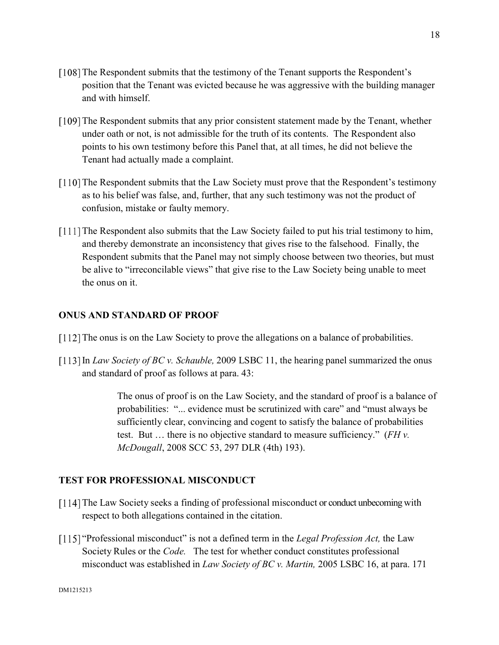- [108] The Respondent submits that the testimony of the Tenant supports the Respondent's position that the Tenant was evicted because he was aggressive with the building manager and with himself.
- [109] The Respondent submits that any prior consistent statement made by the Tenant, whether under oath or not, is not admissible for the truth of its contents. The Respondent also points to his own testimony before this Panel that, at all times, he did not believe the Tenant had actually made a complaint.
- [110] The Respondent submits that the Law Society must prove that the Respondent's testimony as to his belief was false, and, further, that any such testimony was not the product of confusion, mistake or faulty memory.
- [111] The Respondent also submits that the Law Society failed to put his trial testimony to him, and thereby demonstrate an inconsistency that gives rise to the falsehood. Finally, the Respondent submits that the Panel may not simply choose between two theories, but must be alive to "irreconcilable views" that give rise to the Law Society being unable to meet the onus on it.

## **ONUS AND STANDARD OF PROOF**

- [112] The onus is on the Law Society to prove the allegations on a balance of probabilities.
- In *Law Society of BC v. Schauble,* 2009 LSBC 11, the hearing panel summarized the onus and standard of proof as follows at para. 43:

The onus of proof is on the Law Society, and the standard of proof is a balance of probabilities: "... evidence must be scrutinized with care" and "must always be sufficiently clear, convincing and cogent to satisfy the balance of probabilities test. But … there is no objective standard to measure sufficiency." (*FH v. McDougall*, 2008 SCC 53, 297 DLR (4th) 193).

# **TEST FOR PROFESSIONAL MISCONDUCT**

- [114] The Law Society seeks a finding of professional misconduct or conduct unbecoming with respect to both allegations contained in the citation.
- "Professional misconduct" is not a defined term in the *Legal Profession Act,* the Law Society Rules or the *Code.* The test for whether conduct constitutes professional misconduct was established in *Law Society of BC v. Martin,* 2005 LSBC 16, at para. 171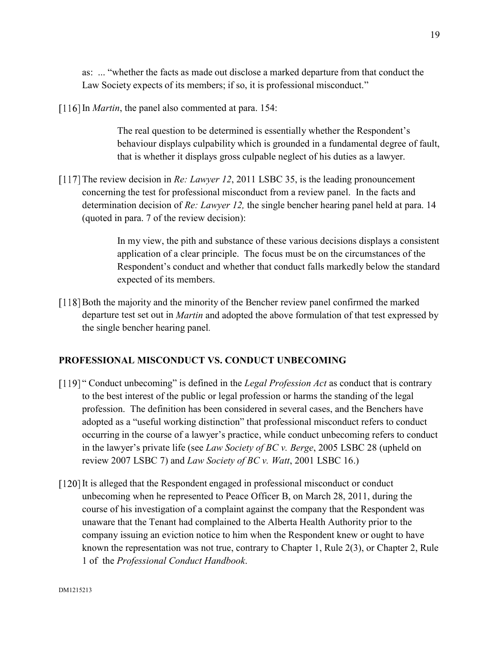as: ... "whether the facts as made out disclose a marked departure from that conduct the Law Society expects of its members; if so, it is professional misconduct."

[116] In *Martin*, the panel also commented at para. 154:

The real question to be determined is essentially whether the Respondent's behaviour displays culpability which is grounded in a fundamental degree of fault, that is whether it displays gross culpable neglect of his duties as a lawyer.

[117] The review decision in *Re: Lawyer 12*, 2011 LSBC 35, is the leading pronouncement concerning the test for professional misconduct from a review panel. In the facts and determination decision of *Re: Lawyer 12,* the single bencher hearing panel held at para. 14 (quoted in para. 7 of the review decision):

> In my view, the pith and substance of these various decisions displays a consistent application of a clear principle. The focus must be on the circumstances of the Respondent's conduct and whether that conduct falls markedly below the standard expected of its members.

[118] Both the majority and the minority of the Bencher review panel confirmed the marked departure test set out in *Martin* and adopted the above formulation of that test expressed by the single bencher hearing panel*.*

# **PROFESSIONAL MISCONDUCT VS. CONDUCT UNBECOMING**

- [119] " Conduct unbecoming" is defined in the *Legal Profession Act* as conduct that is contrary to the best interest of the public or legal profession or harms the standing of the legal profession. The definition has been considered in several cases, and the Benchers have adopted as a "useful working distinction" that professional misconduct refers to conduct occurring in the course of a lawyer's practice, while conduct unbecoming refers to conduct in the lawyer's private life (see *Law Society of BC v. Berge*, 2005 LSBC 28 (upheld on review 2007 LSBC 7) and *Law Society of BC v. Watt*, 2001 LSBC 16.)
- [120] It is alleged that the Respondent engaged in professional misconduct or conduct unbecoming when he represented to Peace Officer B, on March 28, 2011, during the course of his investigation of a complaint against the company that the Respondent was unaware that the Tenant had complained to the Alberta Health Authority prior to the company issuing an eviction notice to him when the Respondent knew or ought to have known the representation was not true, contrary to Chapter 1, Rule 2(3), or Chapter 2, Rule 1 of the *Professional Conduct Handbook*.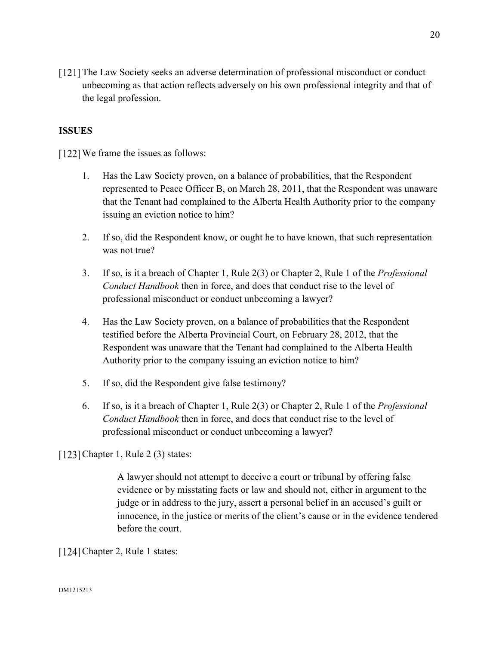[121] The Law Society seeks an adverse determination of professional misconduct or conduct unbecoming as that action reflects adversely on his own professional integrity and that of the legal profession.

## **ISSUES**

[122] We frame the issues as follows:

- 1. Has the Law Society proven, on a balance of probabilities, that the Respondent represented to Peace Officer B, on March 28, 2011, that the Respondent was unaware that the Tenant had complained to the Alberta Health Authority prior to the company issuing an eviction notice to him?
- 2. If so, did the Respondent know, or ought he to have known, that such representation was not true?
- 3. If so, is it a breach of Chapter 1, Rule 2(3) or Chapter 2, Rule 1 of the *Professional Conduct Handbook* then in force, and does that conduct rise to the level of professional misconduct or conduct unbecoming a lawyer?
- 4. Has the Law Society proven, on a balance of probabilities that the Respondent testified before the Alberta Provincial Court, on February 28, 2012, that the Respondent was unaware that the Tenant had complained to the Alberta Health Authority prior to the company issuing an eviction notice to him?
- 5. If so, did the Respondent give false testimony?
- 6. If so, is it a breach of Chapter 1, Rule 2(3) or Chapter 2, Rule 1 of the *Professional Conduct Handbook* then in force, and does that conduct rise to the level of professional misconduct or conduct unbecoming a lawyer?

[123] Chapter 1, Rule  $2(3)$  states:

A lawyer should not attempt to deceive a court or tribunal by offering false evidence or by misstating facts or law and should not, either in argument to the judge or in address to the jury, assert a personal belief in an accused's guilt or innocence, in the justice or merits of the client's cause or in the evidence tendered before the court.

[124] Chapter 2, Rule 1 states: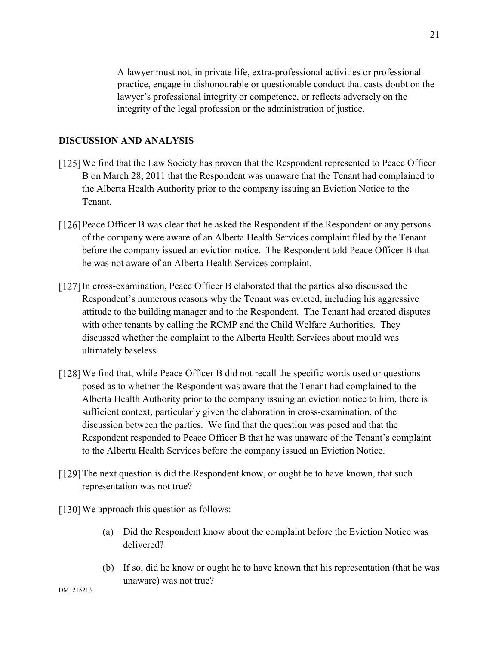A lawyer must not, in private life, extra-professional activities or professional practice, engage in dishonourable or questionable conduct that casts doubt on the lawyer's professional integrity or competence, or reflects adversely on the integrity of the legal profession or the administration of justice.

### **DISCUSSION AND ANALYSIS**

- [125] We find that the Law Society has proven that the Respondent represented to Peace Officer B on March 28, 2011 that the Respondent was unaware that the Tenant had complained to the Alberta Health Authority prior to the company issuing an Eviction Notice to the Tenant.
- Peace Officer B was clear that he asked the Respondent if the Respondent or any persons of the company were aware of an Alberta Health Services complaint filed by the Tenant before the company issued an eviction notice. The Respondent told Peace Officer B that he was not aware of an Alberta Health Services complaint.
- In cross-examination, Peace Officer B elaborated that the parties also discussed the Respondent's numerous reasons why the Tenant was evicted, including his aggressive attitude to the building manager and to the Respondent. The Tenant had created disputes with other tenants by calling the RCMP and the Child Welfare Authorities. They discussed whether the complaint to the Alberta Health Services about mould was ultimately baseless.
- [128] We find that, while Peace Officer B did not recall the specific words used or questions posed as to whether the Respondent was aware that the Tenant had complained to the Alberta Health Authority prior to the company issuing an eviction notice to him, there is sufficient context, particularly given the elaboration in cross-examination, of the discussion between the parties. We find that the question was posed and that the Respondent responded to Peace Officer B that he was unaware of the Tenant's complaint to the Alberta Health Services before the company issued an Eviction Notice.
- [129] The next question is did the Respondent know, or ought he to have known, that such representation was not true?
- [130] We approach this question as follows:
	- (a) Did the Respondent know about the complaint before the Eviction Notice was delivered?
	- (b) If so, did he know or ought he to have known that his representation (that he was unaware) was not true?

DM1215213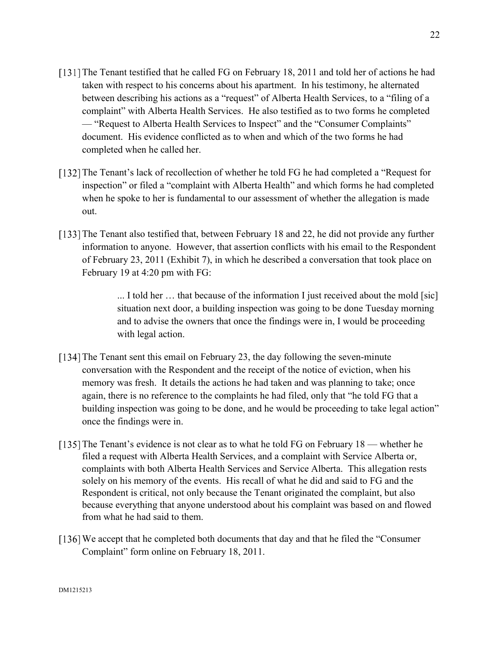- [131] The Tenant testified that he called FG on February 18, 2011 and told her of actions he had taken with respect to his concerns about his apartment. In his testimony, he alternated between describing his actions as a "request" of Alberta Health Services, to a "filing of a complaint" with Alberta Health Services. He also testified as to two forms he completed — "Request to Alberta Health Services to Inspect" and the "Consumer Complaints" document. His evidence conflicted as to when and which of the two forms he had completed when he called her.
- [132] The Tenant's lack of recollection of whether he told FG he had completed a "Request for inspection" or filed a "complaint with Alberta Health" and which forms he had completed when he spoke to her is fundamental to our assessment of whether the allegation is made out.
- [133] The Tenant also testified that, between February 18 and 22, he did not provide any further information to anyone. However, that assertion conflicts with his email to the Respondent of February 23, 2011 (Exhibit 7), in which he described a conversation that took place on February 19 at 4:20 pm with FG:

... I told her … that because of the information I just received about the mold [sic] situation next door, a building inspection was going to be done Tuesday morning and to advise the owners that once the findings were in, I would be proceeding with legal action.

- [134] The Tenant sent this email on February 23, the day following the seven-minute conversation with the Respondent and the receipt of the notice of eviction, when his memory was fresh. It details the actions he had taken and was planning to take; once again, there is no reference to the complaints he had filed, only that "he told FG that a building inspection was going to be done, and he would be proceeding to take legal action" once the findings were in.
- [135] The Tenant's evidence is not clear as to what he told FG on February 18 whether he filed a request with Alberta Health Services, and a complaint with Service Alberta or, complaints with both Alberta Health Services and Service Alberta. This allegation rests solely on his memory of the events. His recall of what he did and said to FG and the Respondent is critical, not only because the Tenant originated the complaint, but also because everything that anyone understood about his complaint was based on and flowed from what he had said to them.
- We accept that he completed both documents that day and that he filed the "Consumer Complaint" form online on February 18, 2011.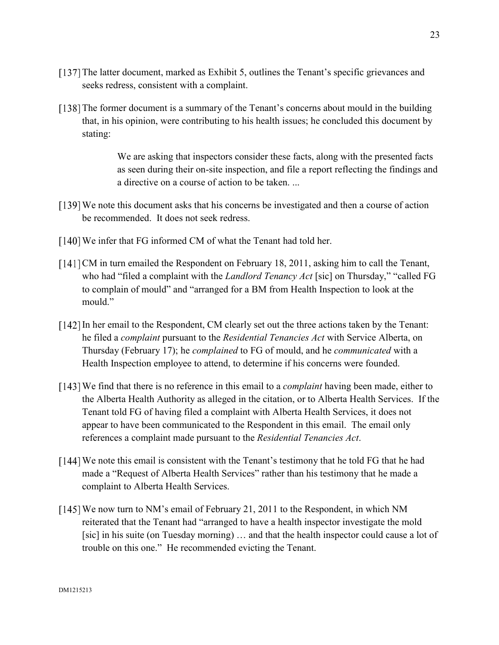- [137] The latter document, marked as Exhibit 5, outlines the Tenant's specific grievances and seeks redress, consistent with a complaint.
- [138] The former document is a summary of the Tenant's concerns about mould in the building that, in his opinion, were contributing to his health issues; he concluded this document by stating:

We are asking that inspectors consider these facts, along with the presented facts as seen during their on-site inspection, and file a report reflecting the findings and a directive on a course of action to be taken. ...

- [139] We note this document asks that his concerns be investigated and then a course of action be recommended. It does not seek redress.
- [140] We infer that FG informed CM of what the Tenant had told her.
- [141] CM in turn emailed the Respondent on February 18, 2011, asking him to call the Tenant, who had "filed a complaint with the *Landlord Tenancy Act* [sic] on Thursday," "called FG to complain of mould" and "arranged for a BM from Health Inspection to look at the mould."
- In her email to the Respondent, CM clearly set out the three actions taken by the Tenant: he filed a *complaint* pursuant to the *Residential Tenancies Act* with Service Alberta, on Thursday (February 17); he *complained* to FG of mould, and he *communicated* with a Health Inspection employee to attend, to determine if his concerns were founded.
- We find that there is no reference in this email to a *complaint* having been made, either to the Alberta Health Authority as alleged in the citation, or to Alberta Health Services. If the Tenant told FG of having filed a complaint with Alberta Health Services, it does not appear to have been communicated to the Respondent in this email. The email only references a complaint made pursuant to the *Residential Tenancies Act*.
- We note this email is consistent with the Tenant's testimony that he told FG that he had made a "Request of Alberta Health Services" rather than his testimony that he made a complaint to Alberta Health Services.
- [145] We now turn to NM's email of February 21, 2011 to the Respondent, in which NM reiterated that the Tenant had "arranged to have a health inspector investigate the mold [sic] in his suite (on Tuesday morning) … and that the health inspector could cause a lot of trouble on this one." He recommended evicting the Tenant.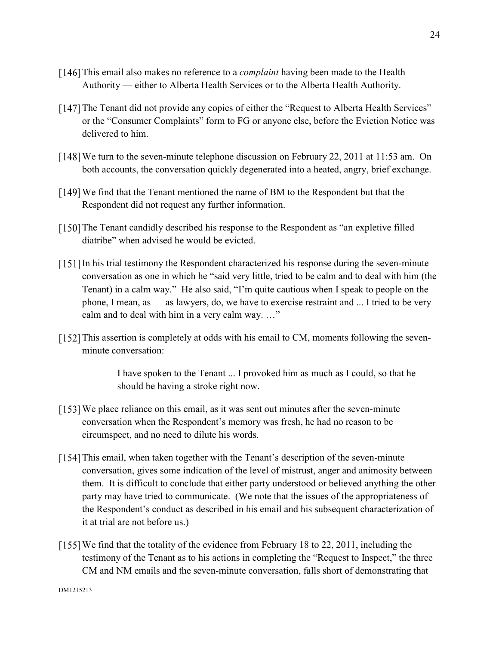- This email also makes no reference to a *complaint* having been made to the Health Authority — either to Alberta Health Services or to the Alberta Health Authority.
- [147] The Tenant did not provide any copies of either the "Request to Alberta Health Services" or the "Consumer Complaints" form to FG or anyone else, before the Eviction Notice was delivered to him.
- We turn to the seven-minute telephone discussion on February 22, 2011 at 11:53 am. On both accounts, the conversation quickly degenerated into a heated, angry, brief exchange.
- We find that the Tenant mentioned the name of BM to the Respondent but that the Respondent did not request any further information.
- [150] The Tenant candidly described his response to the Respondent as "an expletive filled diatribe" when advised he would be evicted.
- [151] In his trial testimony the Respondent characterized his response during the seven-minute conversation as one in which he "said very little, tried to be calm and to deal with him (the Tenant) in a calm way." He also said, "I'm quite cautious when I speak to people on the phone, I mean, as — as lawyers, do, we have to exercise restraint and ... I tried to be very calm and to deal with him in a very calm way. …"
- $[152]$  This assertion is completely at odds with his email to CM, moments following the sevenminute conversation:

I have spoken to the Tenant ... I provoked him as much as I could, so that he should be having a stroke right now.

- We place reliance on this email, as it was sent out minutes after the seven-minute conversation when the Respondent's memory was fresh, he had no reason to be circumspect, and no need to dilute his words.
- [154] This email, when taken together with the Tenant's description of the seven-minute conversation, gives some indication of the level of mistrust, anger and animosity between them. It is difficult to conclude that either party understood or believed anything the other party may have tried to communicate. (We note that the issues of the appropriateness of the Respondent's conduct as described in his email and his subsequent characterization of it at trial are not before us.)
- [155] We find that the totality of the evidence from February 18 to 22, 2011, including the testimony of the Tenant as to his actions in completing the "Request to Inspect," the three CM and NM emails and the seven-minute conversation, falls short of demonstrating that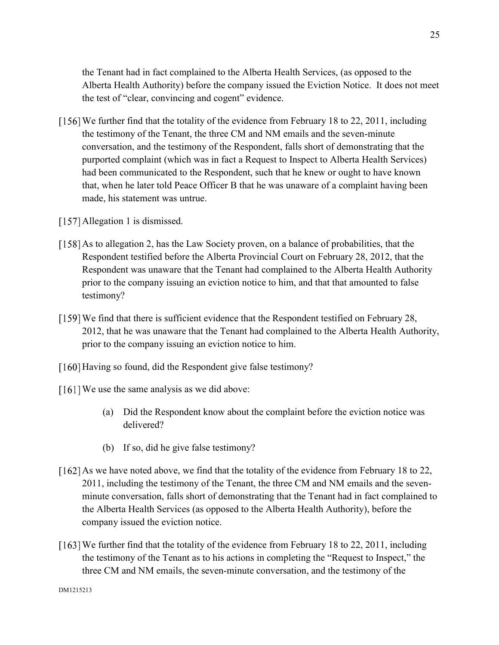the Tenant had in fact complained to the Alberta Health Services, (as opposed to the Alberta Health Authority) before the company issued the Eviction Notice. It does not meet the test of "clear, convincing and cogent" evidence.

- [156] We further find that the totality of the evidence from February 18 to 22, 2011, including the testimony of the Tenant, the three CM and NM emails and the seven-minute conversation, and the testimony of the Respondent, falls short of demonstrating that the purported complaint (which was in fact a Request to Inspect to Alberta Health Services) had been communicated to the Respondent, such that he knew or ought to have known that, when he later told Peace Officer B that he was unaware of a complaint having been made, his statement was untrue.
- [157] Allegation 1 is dismissed.
- [158] As to allegation 2, has the Law Society proven, on a balance of probabilities, that the Respondent testified before the Alberta Provincial Court on February 28, 2012, that the Respondent was unaware that the Tenant had complained to the Alberta Health Authority prior to the company issuing an eviction notice to him, and that that amounted to false testimony?
- [159] We find that there is sufficient evidence that the Respondent testified on February 28, 2012, that he was unaware that the Tenant had complained to the Alberta Health Authority, prior to the company issuing an eviction notice to him.
- [160] Having so found, did the Respondent give false testimony?
- [161] We use the same analysis as we did above:
	- (a) Did the Respondent know about the complaint before the eviction notice was delivered?
	- (b) If so, did he give false testimony?
- [162] As we have noted above, we find that the totality of the evidence from February 18 to 22, 2011, including the testimony of the Tenant, the three CM and NM emails and the sevenminute conversation, falls short of demonstrating that the Tenant had in fact complained to the Alberta Health Services (as opposed to the Alberta Health Authority), before the company issued the eviction notice.
- [163] We further find that the totality of the evidence from February 18 to 22, 2011, including the testimony of the Tenant as to his actions in completing the "Request to Inspect," the three CM and NM emails, the seven-minute conversation, and the testimony of the